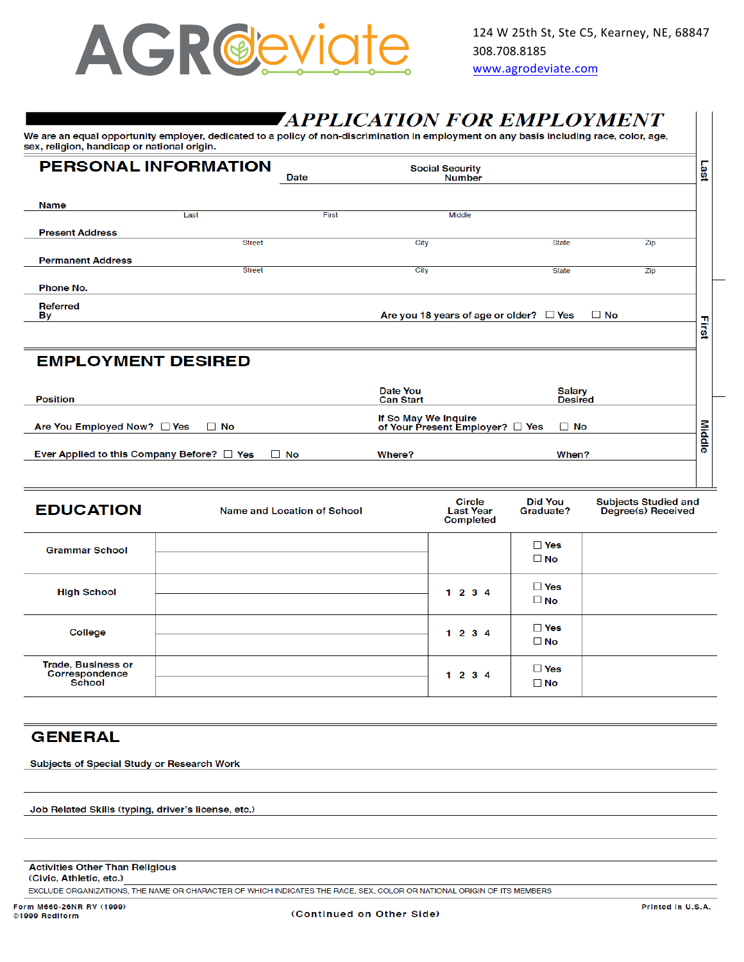

# *TAPPLICATION FOR EMPLOYMENT*

We are an equal opportunity employer, dedicated to a policy of non-discrimination in employment on any basis including race, color, age, sex, religion, handicap or national origin.

| <b>PERSONAL INFORMATION</b><br><b>Social Security</b> |               |       |                                              |              |     |     |
|-------------------------------------------------------|---------------|-------|----------------------------------------------|--------------|-----|-----|
|                                                       |               | Date  | <b>Number</b>                                |              |     | ast |
|                                                       |               |       |                                              |              |     |     |
| <b>Name</b>                                           |               |       |                                              |              |     |     |
|                                                       | Last          | First | Middle                                       |              |     |     |
| <b>Present Address</b>                                |               |       |                                              |              |     |     |
|                                                       | <b>Street</b> |       | City                                         | <b>State</b> | Zip |     |
| <b>Permanent Address</b>                              |               |       |                                              |              |     |     |
|                                                       | <b>Street</b> |       | City                                         | <b>State</b> | Zip |     |
| Phone No.                                             |               |       |                                              |              |     |     |
| Referred<br><b>By</b>                                 |               |       | Are you 18 years of age or older? $\Box$ Yes | $\Box$ No    |     | π   |
|                                                       |               |       |                                              |              |     | 큷   |

#### **EMPLOYMENT DESIRED**

| <b>Position</b>                                              | Date You<br><b>Can Start</b>                                 | Salary<br><b>Desired</b> |   |
|--------------------------------------------------------------|--------------------------------------------------------------|--------------------------|---|
| Are You Employed Now? □ Yes □ No                             | If So May We Inquire<br>of Your Present Employer? □ Yes □ No |                          |   |
| Ever Applied to this Company Before? $\Box$ Yes<br>$\Box$ No | Where?                                                       | When?                    | Φ |
|                                                              |                                                              |                          |   |

| <b>EDUCATION</b>                                             | Name and Location of School | Circle<br><b>Last Year</b><br><b>Completed</b> | <b>Did You</b><br>Graduate? | Subjects Studied and<br>Degree(s) Received |
|--------------------------------------------------------------|-----------------------------|------------------------------------------------|-----------------------------|--------------------------------------------|
| <b>Grammar School</b>                                        |                             |                                                | $\Box$ Yes<br>$\Box$ No     |                                            |
| <b>High School</b>                                           |                             | 1234                                           | $\Box$ Yes<br>$\Box$ No     |                                            |
| College                                                      |                             | 1234                                           | $\Box$ Yes<br>$\Box$ No     |                                            |
| <b>Trade, Business or</b><br>Correspondence<br><b>School</b> |                             | 1234                                           | $\square$ Yes<br>$\Box$ No  |                                            |

### **GENERAL**

Subjects of Special Study or Research Work

Job Related Skills (typing, driver's license, etc.)

| <b>Activities Other Than Religious</b> |  |
|----------------------------------------|--|
| (Civic. Athletic. etc.)                |  |

EXCLUDE ORGANIZATIONS, THE NAME OR CHARACTER OF WHICH INDICATES THE RACE, SEX, COLOR OR NATIONAL ORIGIN OF ITS MEMBERS